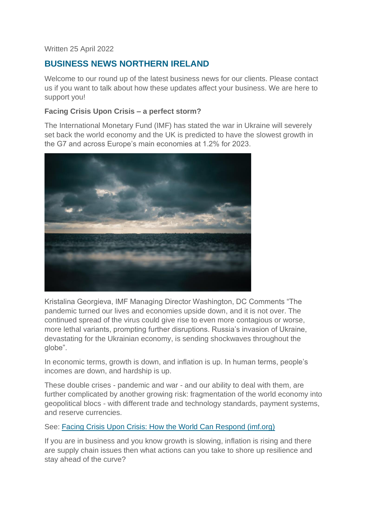#### Written 25 April 2022

# **BUSINESS NEWS NORTHERN IRELAND**

Welcome to our round up of the latest business news for our clients. Please contact us if you want to talk about how these updates affect your business. We are here to support you!

## **Facing Crisis Upon Crisis – a perfect storm?**

The International Monetary Fund (IMF) has stated the war in Ukraine will severely set back the world economy and the UK is predicted to have the slowest growth in the G7 and across Europe's main economies at 1.2% for 2023.



Kristalina Georgieva, IMF Managing Director Washington, DC Comments "The pandemic turned our lives and economies upside down, and it is not over. The continued spread of the virus could give rise to even more contagious or worse, more lethal variants, prompting further disruptions. Russia's invasion of Ukraine, devastating for the Ukrainian economy, is sending shockwaves throughout the globe".

In economic terms, growth is down, and inflation is up. In human terms, people's incomes are down, and hardship is up.

These double crises - pandemic and war - and our ability to deal with them, are further complicated by another growing risk: fragmentation of the world economy into geopolitical blocs - with different trade and technology standards, payment systems, and reserve currencies.

See: [Facing Crisis Upon Crisis: How the World Can Respond \(imf.org\)](https://www.imf.org/en/News/Articles/2022/04/14/sp041422-curtain-raiser-sm2022)

If you are in business and you know growth is slowing, inflation is rising and there are supply chain issues then what actions can you take to shore up resilience and stay ahead of the curve?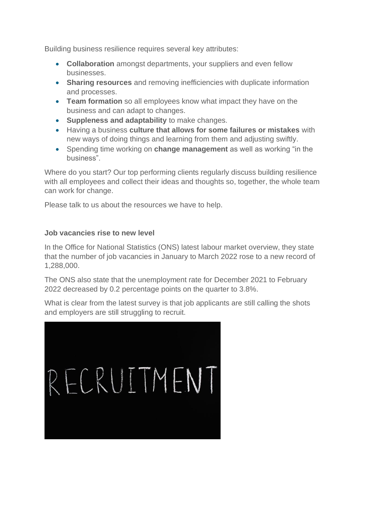Building business resilience requires several key attributes:

- **Collaboration** amongst departments, your suppliers and even fellow businesses.
- **Sharing resources** and removing inefficiencies with duplicate information and processes.
- **Team formation** so all employees know what impact they have on the business and can adapt to changes.
- **Suppleness and adaptability** to make changes.
- Having a business **culture that allows for some failures or mistakes** with new ways of doing things and learning from them and adjusting swiftly.
- Spending time working on **change management** as well as working "in the business".

Where do you start? Our top performing clients regularly discuss building resilience with all employees and collect their ideas and thoughts so, together, the whole team can work for change.

Please talk to us about the resources we have to help.

## **Job vacancies rise to new level**

In the Office for National Statistics (ONS) latest labour market overview, they state that the number of job vacancies in January to March 2022 rose to a new record of 1,288,000.

The ONS also state that the unemployment rate for December 2021 to February 2022 decreased by 0.2 percentage points on the quarter to 3.8%.

What is clear from the latest survey is that job applicants are still calling the shots and employers are still struggling to recruit.

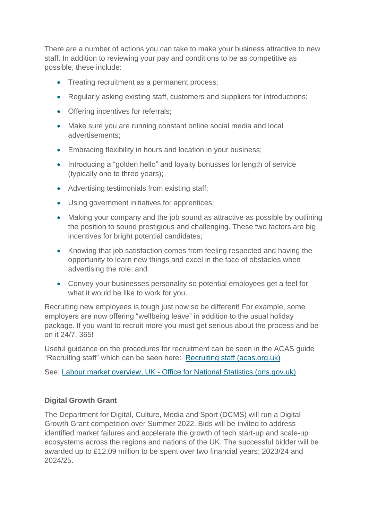There are a number of actions you can take to make your business attractive to new staff. In addition to reviewing your pay and conditions to be as competitive as possible, these include:

- Treating recruitment as a permanent process;
- Regularly asking existing staff, customers and suppliers for introductions;
- Offering incentives for referrals;
- Make sure you are running constant online social media and local advertisements;
- Embracing flexibility in hours and location in your business;
- Introducing a "golden hello" and loyalty bonusses for length of service (typically one to three years);
- Advertising testimonials from existing staff;
- Using government initiatives for apprentices;
- Making your company and the job sound as attractive as possible by outlining the position to sound prestigious and challenging. These two factors are big incentives for bright potential candidates;
- Knowing that job satisfaction comes from feeling respected and having the opportunity to learn new things and excel in the face of obstacles when advertising the role; and
- Convey your businesses personality so potential employees get a feel for what it would be like to work for you.

Recruiting new employees is tough just now so be different! For example, some employers are now offering "wellbeing leave" in addition to the usual holiday package. If you want to recruit more you must get serious about the process and be on it 24/7, 365!

Useful guidance on the procedures for recruitment can be seen in the ACAS guide "Recruiting staff" which can be seen here: [Recruiting staff \(acas.org.uk\)](https://www.acas.org.uk/sites/default/files/2019-03/Recruiting_staff_guide.pdf)

See: Labour market overview, UK - [Office for National Statistics \(ons.gov.uk\)](https://www.ons.gov.uk/employmentandlabourmarket/peopleinwork/employmentandemployeetypes/bulletins/uklabourmarket/april2022)

## **Digital Growth Grant**

The Department for Digital, Culture, Media and Sport (DCMS) will run a Digital Growth Grant competition over Summer 2022. Bids will be invited to address identified market failures and accelerate the growth of tech start-up and scale-up ecosystems across the regions and nations of the UK. The successful bidder will be awarded up to £12.09 million to be spent over two financial years; 2023/24 and 2024/25.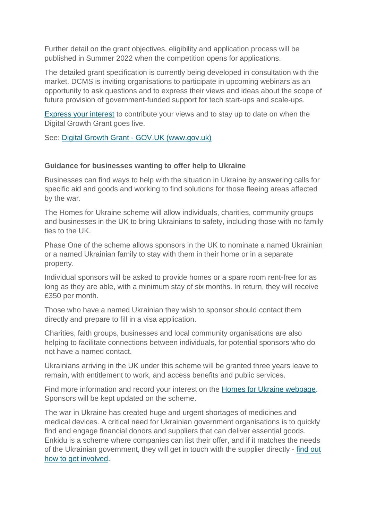Further detail on the grant objectives, eligibility and application process will be published in Summer 2022 when the competition opens for applications.

The detailed grant specification is currently being developed in consultation with the market. DCMS is inviting organisations to participate in upcoming webinars as an opportunity to ask questions and to express their views and ideas about the scope of future provision of government-funded support for tech start-ups and scale-ups.

[Express your interest](https://docs.google.com/forms/d/e/1FAIpQLSeT4tpxIKhO1c2nac4oxekJuSxnjrR8GQzKpyzmVEFV75CMFg/viewform) to contribute your views and to stay up to date on when the Digital Growth Grant goes live.

See: Digital Growth Grant - [GOV.UK \(www.gov.uk\)](https://www.gov.uk/guidance/digital-growth-grant)

#### **Guidance for businesses wanting to offer help to Ukraine**

Businesses can find ways to help with the situation in Ukraine by answering calls for specific aid and goods and working to find solutions for those fleeing areas affected by the war.

The Homes for Ukraine scheme will allow individuals, charities, community groups and businesses in the UK to bring Ukrainians to safety, including those with no family ties to the UK.

Phase One of the scheme allows sponsors in the UK to nominate a named Ukrainian or a named Ukrainian family to stay with them in their home or in a separate property.

Individual sponsors will be asked to provide homes or a spare room rent-free for as long as they are able, with a minimum stay of six months. In return, they will receive £350 per month.

Those who have a named Ukrainian they wish to sponsor should contact them directly and prepare to fill in a visa application.

Charities, faith groups, businesses and local community organisations are also helping to facilitate connections between individuals, for potential sponsors who do not have a named contact.

Ukrainians arriving in the UK under this scheme will be granted three years leave to remain, with entitlement to work, and access benefits and public services.

Find more information and record your interest on the [Homes for Ukraine webpage.](https://homesforukraine.campaign.gov.uk/) Sponsors will be kept updated on the scheme.

The war in Ukraine has created huge and urgent shortages of medicines and medical devices. A critical need for Ukrainian government organisations is to quickly find and engage financial donors and suppliers that can deliver essential goods. Enkidu is a scheme where companies can list their offer, and if it matches the needs of the Ukrainian government, they will get in touch with the supplier directly - [find out](https://enkiduglobal.org/en/)  [how to get involved.](https://enkiduglobal.org/en/)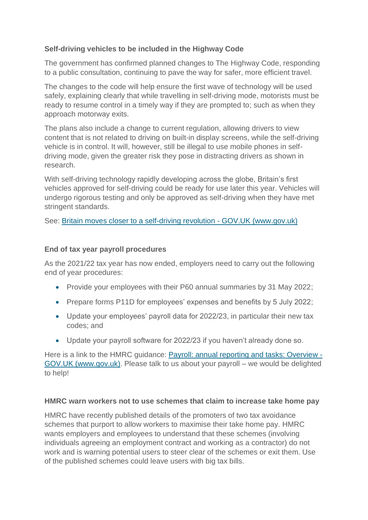## **Self-driving vehicles to be included in the Highway Code**

The government has confirmed planned changes to The Highway Code, responding to a public consultation, continuing to pave the way for safer, more efficient travel.

The changes to the code will help ensure the first wave of technology will be used safely, explaining clearly that while travelling in self-driving mode, motorists must be ready to resume control in a timely way if they are prompted to; such as when they approach motorway exits.

The plans also include a change to current regulation, allowing drivers to view content that is not related to driving on built-in display screens, while the self-driving vehicle is in control. It will, however, still be illegal to use mobile phones in selfdriving mode, given the greater risk they pose in distracting drivers as shown in research.

With self-driving technology rapidly developing across the globe, Britain's first vehicles approved for self-driving could be ready for use later this year. Vehicles will undergo rigorous testing and only be approved as self-driving when they have met stringent standards.

See: [Britain moves closer to a self-driving revolution -](https://www.gov.uk/government/news/britain-moves-closer-to-a-self-driving-revolution) GOV.UK (www.gov.uk)

## **End of tax year payroll procedures**

As the 2021/22 tax year has now ended, employers need to carry out the following end of year procedures:

- Provide your employees with their P60 annual summaries by 31 May 2022;
- Prepare forms P11D for employees' expenses and benefits by 5 July 2022:
- Update your employees' payroll data for 2022/23, in particular their new tax codes; and
- Update your payroll software for 2022/23 if you haven't already done so.

Here is a link to the HMRC guidance: [Payroll: annual reporting and tasks: Overview -](https://www.gov.uk/payroll-annual-reporting) [GOV.UK \(www.gov.uk\).](https://www.gov.uk/payroll-annual-reporting) Please talk to us about your payroll – we would be delighted to help!

#### **HMRC warn workers not to use schemes that claim to increase take home pay**

HMRC have recently published details of the promoters of two tax avoidance schemes that purport to allow workers to maximise their take home pay. HMRC wants employers and employees to understand that these schemes (involving individuals agreeing an employment contract and working as a contractor) do not work and is warning potential users to steer clear of the schemes or exit them. Use of the published schemes could leave users with big tax bills.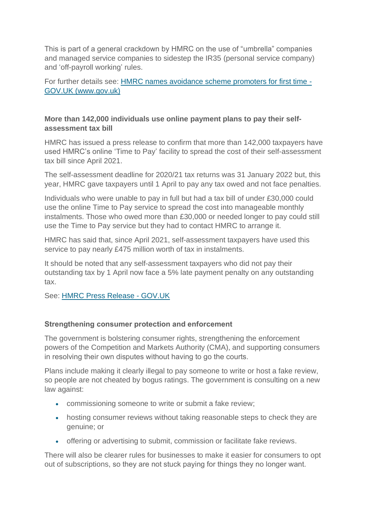This is part of a general crackdown by HMRC on the use of "umbrella" companies and managed service companies to sidestep the IR35 (personal service company) and 'off-payroll working' rules.

For further details see: [HMRC names avoidance scheme promoters for first time -](https://www.gov.uk/government/news/hmrc-names-avoidance-scheme-promoters-for-first-time) [GOV.UK \(www.gov.uk\)](https://www.gov.uk/government/news/hmrc-names-avoidance-scheme-promoters-for-first-time)

# **More than 142,000 individuals use online payment plans to pay their selfassessment tax bill**

HMRC has issued a press release to confirm that more than 142,000 taxpayers have used HMRC's online 'Time to Pay' facility to spread the cost of their self-assessment tax bill since April 2021.

The self-assessment deadline for 2020/21 tax returns was 31 January 2022 but, this year, HMRC gave taxpayers until 1 April to pay any tax owed and not face penalties.

Individuals who were unable to pay in full but had a tax bill of under £30,000 could use the online Time to Pay service to spread the cost into manageable monthly instalments. Those who owed more than £30,000 or needed longer to pay could still use the Time to Pay service but they had to contact HMRC to arrange it.

HMRC has said that, since April 2021, self-assessment taxpayers have used this service to pay nearly £475 million worth of tax in instalments.

It should be noted that any self-assessment taxpayers who did not pay their outstanding tax by 1 April now face a 5% late payment penalty on any outstanding tax.

See: [HMRC Press Release -](https://www.gov.uk/government/news/more-than-142000-use-online-payment-plans-to-pay-their-self-assessment-tax-bill) GOV.UK

## **Strengthening consumer protection and enforcement**

The government is bolstering consumer rights, strengthening the enforcement powers of the Competition and Markets Authority (CMA), and supporting consumers in resolving their own disputes without having to go the courts. 

Plans include making it clearly illegal to pay someone to write or host a fake review, so people are not cheated by bogus ratings. The government is consulting on a new law against:

- commissioning someone to write or submit a fake review;
- hosting consumer reviews without taking reasonable steps to check they are genuine; or
- offering or advertising to submit, commission or facilitate fake reviews.

There will also be clearer rules for businesses to make it easier for consumers to opt out of subscriptions, so they are not stuck paying for things they no longer want.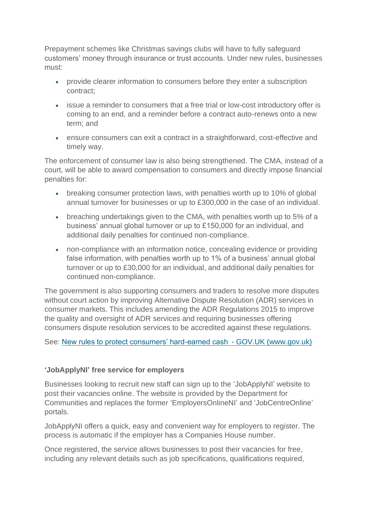Prepayment schemes like Christmas savings clubs will have to fully safeguard customers' money through insurance or trust accounts. Under new rules, businesses must:

- provide clearer information to consumers before they enter a subscription contract;
- issue a reminder to consumers that a free trial or low-cost introductory offer is coming to an end, and a reminder before a contract auto-renews onto a new term; and
- ensure consumers can exit a contract in a straightforward, cost-effective and timely way.

The enforcement of consumer law is also being strengthened. The CMA, instead of a court, will be able to award compensation to consumers and directly impose financial penalties for:

- breaking consumer protection laws, with penalties worth up to 10% of global annual turnover for businesses or up to £300,000 in the case of an individual.
- breaching undertakings given to the CMA, with penalties worth up to 5% of a business' annual global turnover or up to £150,000 for an individual, and additional daily penalties for continued non-compliance.
- non-compliance with an information notice, concealing evidence or providing false information, with penalties worth up to 1% of a business' annual global turnover or up to £30,000 for an individual, and additional daily penalties for continued non-compliance.

The government is also supporting consumers and traders to resolve more disputes without court action by improving Alternative Dispute Resolution (ADR) services in consumer markets. This includes amending the ADR Regulations 2015 to improve the quality and oversight of ADR services and requiring businesses offering consumers dispute resolution services to be accredited against these regulations.

See: [New rules to protect consumers' hard-earned cash  -](https://www.gov.uk/government/news/new-rules-to-protect-consumers-hard-earned-cash) GOV.UK (www.gov.uk)

## **'JobApplyNI' free service for employers**

Businesses looking to recruit new staff can sign up to the 'JobApplyNI' website to post their vacancies online. The website is provided by the Department for Communities and replaces the former 'EmployersOnlineNI' and 'JobCentreOnline' portals.

JobApplyNI offers a quick, easy and convenient way for employers to register. The process is automatic if the employer has a Companies House number.

Once registered, the service allows businesses to post their vacancies for free, including any relevant details such as job specifications, qualifications required,